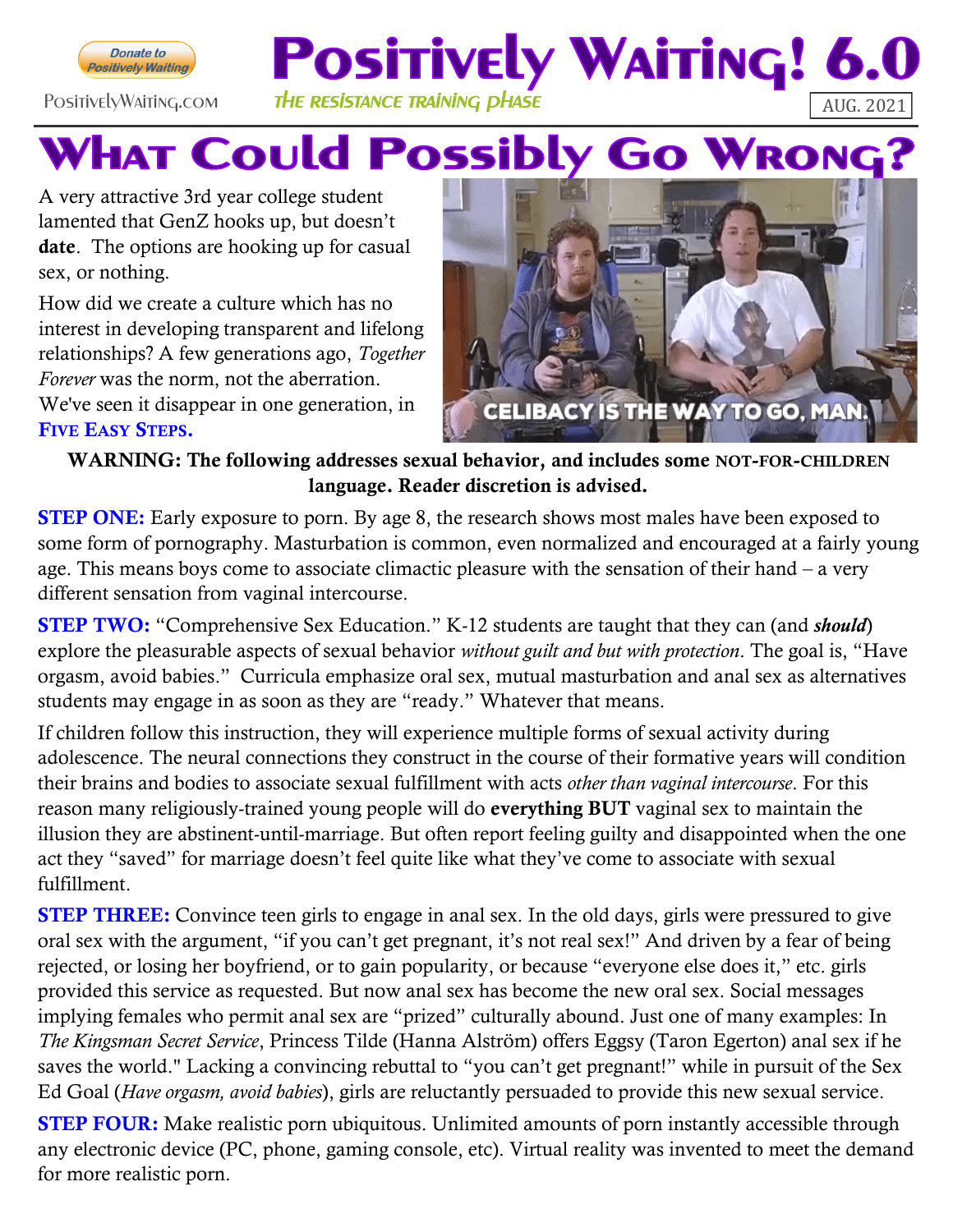

### **Positively Waiting! 6.**  $\overline{\mathsf{P}}$ OsitivelyWaiting.com The RESISTANCE TRAINING  $\overline{\mathsf{P}}$ HASE  $\overline{\mathsf{AUG.2021}}$

## **WHAT Could Possibly Go WRONG?**

A very attractive 3rd year college student lamented that GenZ hooks up, but doesn't date. The options are hooking up for casual sex, or nothing.

How did we create a culture which has no interest in developing transparent and lifelong relationships? A few generations ago, *Together Forever* was the norm, not the aberration. We've seen it disappear in one generation, in FIVE EASY STEPS.



#### WARNING: The following addresses sexual behavior, and includes some NOT-FOR-CHILDREN language. Reader discretion is advised.

**STEP ONE:** Early exposure to porn. By age 8, the research shows most males have been exposed to some form of pornography. Masturbation is common, even normalized and encouraged at a fairly young age. This means boys come to associate climactic pleasure with the sensation of their hand – a very different sensation from vaginal intercourse.

STEP TWO: "Comprehensive Sex Education." K-12 students are taught that they can (and *should*) explore the pleasurable aspects of sexual behavior *without guilt and but with protection*. The goal is, "Have orgasm, avoid babies." Curricula emphasize oral sex, mutual masturbation and anal sex as alternatives students may engage in as soon as they are "ready." Whatever that means.

If children follow this instruction, they will experience multiple forms of sexual activity during adolescence. The neural connections they construct in the course of their formative years will condition their brains and bodies to associate sexual fulfillment with acts *other than vaginal intercourse*. For this reason many religiously-trained young people will do everything BUT vaginal sex to maintain the illusion they are abstinent-until-marriage. But often report feeling guilty and disappointed when the one act they "saved" for marriage doesn't feel quite like what they've come to associate with sexual fulfillment.

STEP THREE: Convince teen girls to engage in anal sex. In the old days, girls were pressured to give oral sex with the argument, "if you can't get pregnant, it's not real sex!" And driven by a fear of being rejected, or losing her boyfriend, or to gain popularity, or because "everyone else does it," etc. girls provided this service as requested. But now anal sex has become the new oral sex. Social messages implying females who permit anal sex are "prized" culturally abound. Just one of many examples: In *The Kingsman Secret Service*, Princess Tilde (Hanna Alström) offers Eggsy (Taron Egerton) anal sex if he saves the world." Lacking a convincing rebuttal to "you can't get pregnant!" while in pursuit of the Sex Ed Goal (*Have orgasm, avoid babies*), girls are reluctantly persuaded to provide this new sexual service.

**STEP FOUR:** Make realistic porn ubiquitous. Unlimited amounts of porn instantly accessible through any electronic device (PC, phone, gaming console, etc). Virtual reality was invented to meet the demand for more realistic porn.